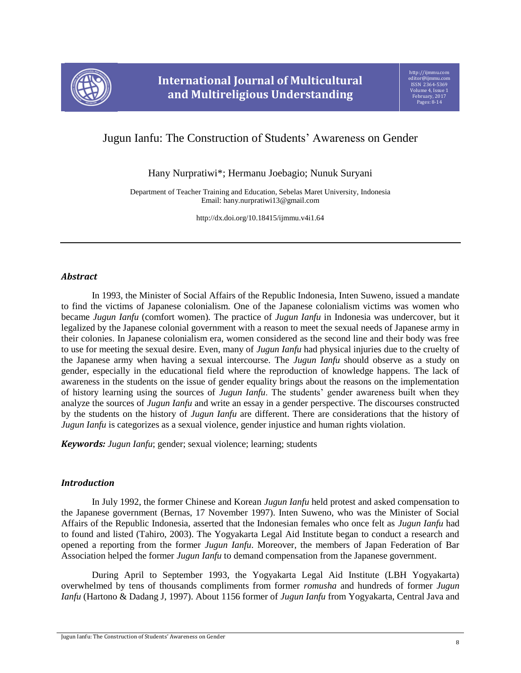

# Jugun Ianfu: The Construction of Students' Awareness on Gender

Hany Nurpratiwi\*; Hermanu Joebagio; Nunuk Suryani

Department of Teacher Training and Education, Sebelas Maret University, Indonesia Email: hany.nurpratiwi13@gmail.com

http://dx.doi.org/10.18415/ijmmu.v4i1.64

### *Abstract*

In 1993, the Minister of Social Affairs of the Republic Indonesia, Inten Suweno, issued a mandate to find the victims of Japanese colonialism. One of the Japanese colonialism victims was women who became *Jugun Ianfu* (comfort women)*.* The practice of *Jugun Ianfu* in Indonesia was undercover, but it legalized by the Japanese colonial government with a reason to meet the sexual needs of Japanese army in their colonies. In Japanese colonialism era, women considered as the second line and their body was free to use for meeting the sexual desire. Even, many of *Jugun Ianfu* had physical injuries due to the cruelty of the Japanese army when having a sexual intercourse. The *Jugun Ianfu* should observe as a study on gender, especially in the educational field where the reproduction of knowledge happens. The lack of awareness in the students on the issue of gender equality brings about the reasons on the implementation of history learning using the sources of *Jugun Ianfu*. The students' gender awareness built when they analyze the sources of *Jugun Ianfu* and write an essay in a gender perspective. The discourses constructed by the students on the history of *Jugun Ianfu* are different. There are considerations that the history of *Jugun Ianfu* is categorizes as a sexual violence, gender injustice and human rights violation.

*Keywords: Jugun Ianfu*; gender; sexual violence; learning; students

# *Introduction*

In July 1992, the former Chinese and Korean *Jugun Ianfu* held protest and asked compensation to the Japanese government (Bernas, 17 November 1997). Inten Suweno, who was the Minister of Social Affairs of the Republic Indonesia, asserted that the Indonesian females who once felt as *Jugun Ianfu* had to found and listed (Tahiro, 2003). The Yogyakarta Legal Aid Institute began to conduct a research and opened a reporting from the former *Jugun Ianfu*. Moreover, the members of Japan Federation of Bar Association helped the former *Jugun Ianfu* to demand compensation from the Japanese government.

During April to September 1993, the Yogyakarta Legal Aid Institute (LBH Yogyakarta) overwhelmed by tens of thousands compliments from former *romusha* and hundreds of former *Jugun Ianfu* (Hartono & Dadang J, 1997). About 1156 former of *Jugun Ianfu* from Yogyakarta, Central Java and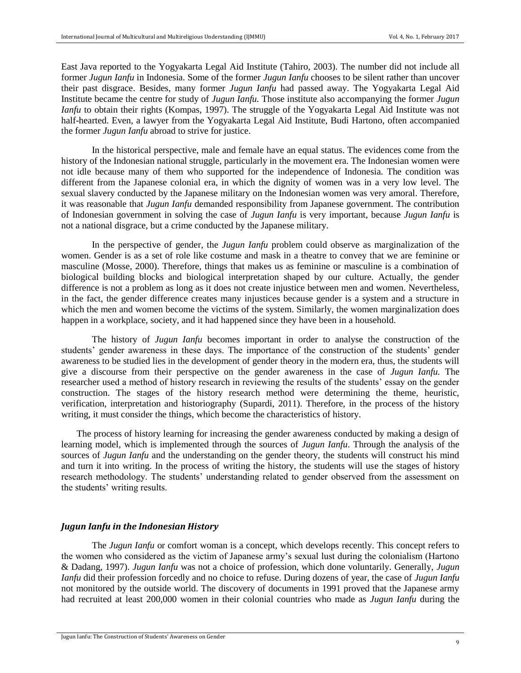East Java reported to the Yogyakarta Legal Aid Institute (Tahiro, 2003). The number did not include all former *Jugun Ianfu* in Indonesia. Some of the former *Jugun Ianfu* chooses to be silent rather than uncover their past disgrace. Besides, many former *Jugun Ianfu* had passed away. The Yogyakarta Legal Aid Institute became the centre for study of *Jugun Ianfu.* Those institute also accompanying the former *Jugun Ianfu* to obtain their rights (Kompas, 1997). The struggle of the Yogyakarta Legal Aid Institute was not half-hearted. Even, a lawyer from the Yogyakarta Legal Aid Institute, Budi Hartono, often accompanied the former *Jugun Ianfu* abroad to strive for justice.

In the historical perspective, male and female have an equal status. The evidences come from the history of the Indonesian national struggle, particularly in the movement era. The Indonesian women were not idle because many of them who supported for the independence of Indonesia. The condition was different from the Japanese colonial era, in which the dignity of women was in a very low level. The sexual slavery conducted by the Japanese military on the Indonesian women was very amoral. Therefore, it was reasonable that *Jugun Ianfu* demanded responsibility from Japanese government. The contribution of Indonesian government in solving the case of *Jugun Ianfu* is very important, because *Jugun Ianfu* is not a national disgrace, but a crime conducted by the Japanese military.

In the perspective of gender, the *Jugun Ianfu* problem could observe as marginalization of the women. Gender is as a set of role like costume and mask in a theatre to convey that we are feminine or masculine (Mosse, 2000). Therefore, things that makes us as feminine or masculine is a combination of biological building blocks and biological interpretation shaped by our culture. Actually, the gender difference is not a problem as long as it does not create injustice between men and women. Nevertheless, in the fact, the gender difference creates many injustices because gender is a system and a structure in which the men and women become the victims of the system. Similarly, the women marginalization does happen in a workplace, society, and it had happened since they have been in a household.

The history of *Jugun Ianfu* becomes important in order to analyse the construction of the students' gender awareness in these days. The importance of the construction of the students' gender awareness to be studied lies in the development of gender theory in the modern era, thus, the students will give a discourse from their perspective on the gender awareness in the case of *Jugun Ianfu.* The researcher used a method of history research in reviewing the results of the students' essay on the gender construction. The stages of the history research method were determining the theme, heuristic, verification, interpretation and historiography (Supardi, 2011). Therefore, in the process of the history writing, it must consider the things, which become the characteristics of history.

The process of history learning for increasing the gender awareness conducted by making a design of learning model, which is implemented through the sources of *Jugun Ianfu*. Through the analysis of the sources of *Jugun Ianfu* and the understanding on the gender theory, the students will construct his mind and turn it into writing. In the process of writing the history, the students will use the stages of history research methodology. The students' understanding related to gender observed from the assessment on the students' writing results.

#### *Jugun Ianfu in the Indonesian History*

The *Jugun Ianfu* or comfort woman is a concept, which develops recently. This concept refers to the women who considered as the victim of Japanese army's sexual lust during the colonialism (Hartono & Dadang, 1997). *Jugun Ianfu* was not a choice of profession, which done voluntarily. Generally, *Jugun Ianfu* did their profession forcedly and no choice to refuse. During dozens of year, the case of *Jugun Ianfu* not monitored by the outside world. The discovery of documents in 1991 proved that the Japanese army had recruited at least 200,000 women in their colonial countries who made as *Jugun Ianfu* during the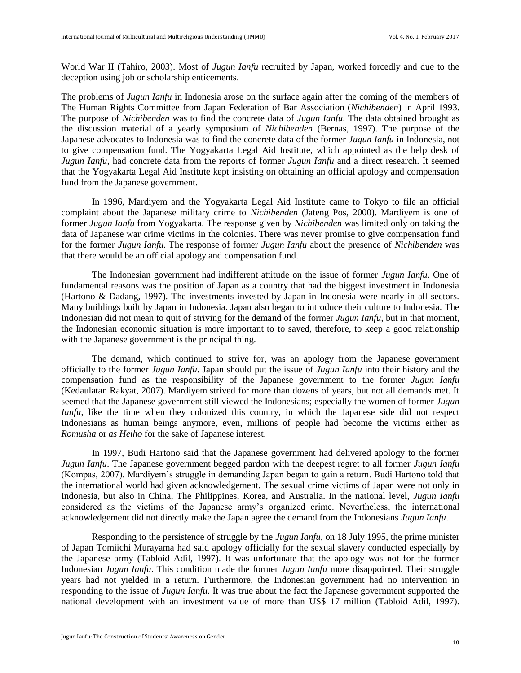World War II (Tahiro, 2003). Most of *Jugun Ianfu* recruited by Japan, worked forcedly and due to the deception using job or scholarship enticements.

The problems of *Jugun Ianfu* in Indonesia arose on the surface again after the coming of the members of The Human Rights Committee from Japan Federation of Bar Association (*Nichibenden*) in April 1993. The purpose of *Nichibenden* was to find the concrete data of *Jugun Ianfu*. The data obtained brought as the discussion material of a yearly symposium of *Nichibenden* (Bernas, 1997). The purpose of the Japanese advocates to Indonesia was to find the concrete data of the former *Jugun Ianfu* in Indonesia, not to give compensation fund. The Yogyakarta Legal Aid Institute, which appointed as the help desk of *Jugun Ianfu,* had concrete data from the reports of former *Jugun Ianfu* and a direct research. It seemed that the Yogyakarta Legal Aid Institute kept insisting on obtaining an official apology and compensation fund from the Japanese government.

In 1996, Mardiyem and the Yogyakarta Legal Aid Institute came to Tokyo to file an official complaint about the Japanese military crime to *Nichibenden* (Jateng Pos, 2000). Mardiyem is one of former *Jugun Ianfu* from Yogyakarta. The response given by *Nichibenden* was limited only on taking the data of Japanese war crime victims in the colonies. There was never promise to give compensation fund for the former *Jugun Ianfu*. The response of former *Jugun Ianfu* about the presence of *Nichibenden* was that there would be an official apology and compensation fund.

The Indonesian government had indifferent attitude on the issue of former *Jugun Ianfu*. One of fundamental reasons was the position of Japan as a country that had the biggest investment in Indonesia (Hartono & Dadang, 1997). The investments invested by Japan in Indonesia were nearly in all sectors. Many buildings built by Japan in Indonesia. Japan also began to introduce their culture to Indonesia. The Indonesian did not mean to quit of striving for the demand of the former *Jugun Ianfu*, but in that moment, the Indonesian economic situation is more important to to saved, therefore, to keep a good relationship with the Japanese government is the principal thing.

The demand, which continued to strive for, was an apology from the Japanese government officially to the former *Jugun Ianfu*. Japan should put the issue of *Jugun Ianfu* into their history and the compensation fund as the responsibility of the Japanese government to the former *Jugun Ianfu*  (Kedaulatan Rakyat, 2007). Mardiyem strived for more than dozens of years, but not all demands met. It seemed that the Japanese government still viewed the Indonesians; especially the women of former *Jugun Ianfu*, like the time when they colonized this country, in which the Japanese side did not respect Indonesians as human beings anymore, even, millions of people had become the victims either as *Romusha* or *as Heiho* for the sake of Japanese interest.

In 1997, Budi Hartono said that the Japanese government had delivered apology to the former *Jugun Ianfu*. The Japanese government begged pardon with the deepest regret to all former *Jugun Ianfu*  (Kompas, 2007). Mardiyem's struggle in demanding Japan began to gain a return. Budi Hartono told that the international world had given acknowledgement. The sexual crime victims of Japan were not only in Indonesia, but also in China, The Philippines, Korea, and Australia. In the national level, *Jugun Ianfu*  considered as the victims of the Japanese army's organized crime. Nevertheless, the international acknowledgement did not directly make the Japan agree the demand from the Indonesians *Jugun Ianfu*.

Responding to the persistence of struggle by the *Jugun Ianfu*, on 18 July 1995, the prime minister of Japan Tomiichi Murayama had said apology officially for the sexual slavery conducted especially by the Japanese army (Tabloid Adil, 1997). It was unfortunate that the apology was not for the former Indonesian *Jugun Ianfu*. This condition made the former *Jugun Ianfu* more disappointed. Their struggle years had not yielded in a return. Furthermore, the Indonesian government had no intervention in responding to the issue of *Jugun Ianfu*. It was true about the fact the Japanese government supported the national development with an investment value of more than US\$ 17 million (Tabloid Adil, 1997).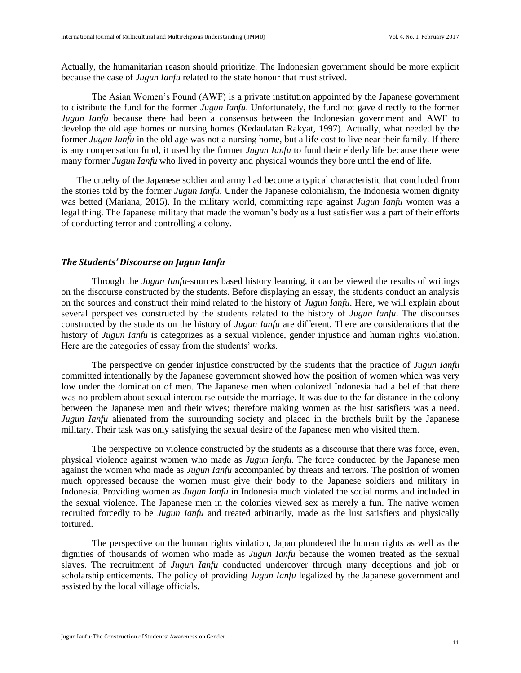Actually, the humanitarian reason should prioritize. The Indonesian government should be more explicit because the case of *Jugun Ianfu* related to the state honour that must strived.

The Asian Women's Found (AWF) is a private institution appointed by the Japanese government to distribute the fund for the former *Jugun Ianfu*. Unfortunately, the fund not gave directly to the former *Jugun Ianfu* because there had been a consensus between the Indonesian government and AWF to develop the old age homes or nursing homes (Kedaulatan Rakyat, 1997). Actually, what needed by the former *Jugun Ianfu* in the old age was not a nursing home, but a life cost to live near their family. If there is any compensation fund, it used by the former *Jugun Ianfu* to fund their elderly life because there were many former *Jugun Ianfu* who lived in poverty and physical wounds they bore until the end of life.

The cruelty of the Japanese soldier and army had become a typical characteristic that concluded from the stories told by the former *Jugun Ianfu*. Under the Japanese colonialism, the Indonesia women dignity was betted (Mariana, 2015). In the military world, committing rape against *Jugun Ianfu* women was a legal thing. The Japanese military that made the woman's body as a lust satisfier was a part of their efforts of conducting terror and controlling a colony.

#### *The Students' Discourse on Jugun Ianfu*

Through the *Jugun Ianfu-*sources based history learning, it can be viewed the results of writings on the discourse constructed by the students. Before displaying an essay, the students conduct an analysis on the sources and construct their mind related to the history of *Jugun Ianfu*. Here, we will explain about several perspectives constructed by the students related to the history of *Jugun Ianfu*. The discourses constructed by the students on the history of *Jugun Ianfu* are different. There are considerations that the history of *Jugun Ianfu* is categorizes as a sexual violence, gender injustice and human rights violation. Here are the categories of essay from the students' works.

The perspective on gender injustice constructed by the students that the practice of *Jugun Ianfu* committed intentionally by the Japanese government showed how the position of women which was very low under the domination of men. The Japanese men when colonized Indonesia had a belief that there was no problem about sexual intercourse outside the marriage. It was due to the far distance in the colony between the Japanese men and their wives; therefore making women as the lust satisfiers was a need. *Jugun Ianfu* alienated from the surrounding society and placed in the brothels built by the Japanese military. Their task was only satisfying the sexual desire of the Japanese men who visited them.

The perspective on violence constructed by the students as a discourse that there was force, even, physical violence against women who made as *Jugun Ianfu*. The force conducted by the Japanese men against the women who made as *Jugun Ianfu* accompanied by threats and terrors. The position of women much oppressed because the women must give their body to the Japanese soldiers and military in Indonesia. Providing women as *Jugun Ianfu* in Indonesia much violated the social norms and included in the sexual violence. The Japanese men in the colonies viewed sex as merely a fun. The native women recruited forcedly to be *Jugun Ianfu* and treated arbitrarily, made as the lust satisfiers and physically tortured.

The perspective on the human rights violation, Japan plundered the human rights as well as the dignities of thousands of women who made as *Jugun Ianfu* because the women treated as the sexual slaves. The recruitment of *Jugun Ianfu* conducted undercover through many deceptions and job or scholarship enticements. The policy of providing *Jugun Ianfu* legalized by the Japanese government and assisted by the local village officials.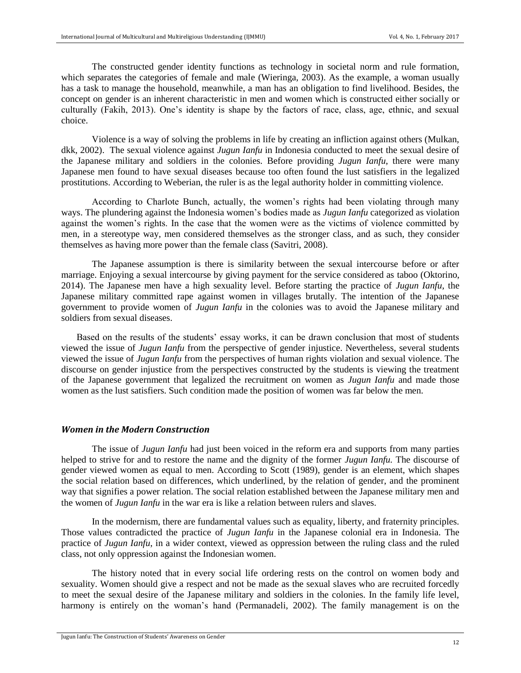The constructed gender identity functions as technology in societal norm and rule formation, which separates the categories of female and male (Wieringa, 2003). As the example, a woman usually has a task to manage the household, meanwhile, a man has an obligation to find livelihood. Besides, the concept on gender is an inherent characteristic in men and women which is constructed either socially or culturally (Fakih, 2013). One's identity is shape by the factors of race, class, age, ethnic, and sexual choice.

Violence is a way of solving the problems in life by creating an infliction against others (Mulkan, dkk, 2002). The sexual violence against *Jugun Ianfu* in Indonesia conducted to meet the sexual desire of the Japanese military and soldiers in the colonies. Before providing *Jugun Ianfu*, there were many Japanese men found to have sexual diseases because too often found the lust satisfiers in the legalized prostitutions. According to Weberian, the ruler is as the legal authority holder in committing violence.

According to Charlote Bunch, actually, the women's rights had been violating through many ways. The plundering against the Indonesia women's bodies made as *Jugun Ianfu* categorized as violation against the women's rights. In the case that the women were as the victims of violence committed by men, in a stereotype way, men considered themselves as the stronger class, and as such, they consider themselves as having more power than the female class (Savitri, 2008).

The Japanese assumption is there is similarity between the sexual intercourse before or after marriage. Enjoying a sexual intercourse by giving payment for the service considered as taboo (Oktorino, 2014). The Japanese men have a high sexuality level. Before starting the practice of *Jugun Ianfu*, the Japanese military committed rape against women in villages brutally. The intention of the Japanese government to provide women of *Jugun Ianfu* in the colonies was to avoid the Japanese military and soldiers from sexual diseases.

Based on the results of the students' essay works, it can be drawn conclusion that most of students viewed the issue of *Jugun Ianfu* from the perspective of gender injustice. Nevertheless, several students viewed the issue of *Jugun Ianfu* from the perspectives of human rights violation and sexual violence. The discourse on gender injustice from the perspectives constructed by the students is viewing the treatment of the Japanese government that legalized the recruitment on women as *Jugun Ianfu* and made those women as the lust satisfiers. Such condition made the position of women was far below the men.

## *Women in the Modern Construction*

The issue of *Jugun Ianfu* had just been voiced in the reform era and supports from many parties helped to strive for and to restore the name and the dignity of the former *Jugun Ianfu.* The discourse of gender viewed women as equal to men. According to Scott (1989), gender is an element, which shapes the social relation based on differences, which underlined, by the relation of gender, and the prominent way that signifies a power relation. The social relation established between the Japanese military men and the women of *Jugun Ianfu* in the war era is like a relation between rulers and slaves.

In the modernism, there are fundamental values such as equality, liberty, and fraternity principles. Those values contradicted the practice of *Jugun Ianfu* in the Japanese colonial era in Indonesia. The practice of *Jugun Ianfu*, in a wider context, viewed as oppression between the ruling class and the ruled class, not only oppression against the Indonesian women.

The history noted that in every social life ordering rests on the control on women body and sexuality. Women should give a respect and not be made as the sexual slaves who are recruited forcedly to meet the sexual desire of the Japanese military and soldiers in the colonies. In the family life level, harmony is entirely on the woman's hand (Permanadeli, 2002). The family management is on the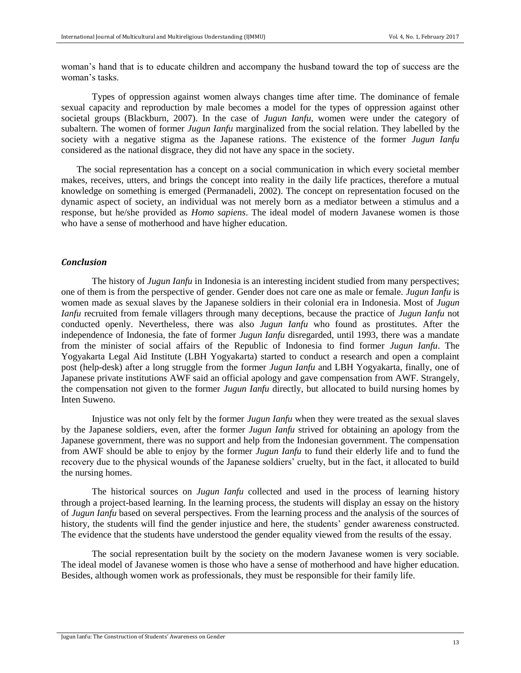woman's hand that is to educate children and accompany the husband toward the top of success are the woman's tasks.

Types of oppression against women always changes time after time. The dominance of female sexual capacity and reproduction by male becomes a model for the types of oppression against other societal groups (Blackburn, 2007). In the case of *Jugun Ianfu*, women were under the category of subaltern. The women of former *Jugun Ianfu* marginalized from the social relation. They labelled by the society with a negative stigma as the Japanese rations. The existence of the former *Jugun Ianfu* considered as the national disgrace, they did not have any space in the society.

The social representation has a concept on a social communication in which every societal member makes, receives, utters, and brings the concept into reality in the daily life practices, therefore a mutual knowledge on something is emerged (Permanadeli, 2002). The concept on representation focused on the dynamic aspect of society, an individual was not merely born as a mediator between a stimulus and a response, but he/she provided as *Homo sapiens*. The ideal model of modern Javanese women is those who have a sense of motherhood and have higher education.

### *Conclusion*

The history of *Jugun Ianfu* in Indonesia is an interesting incident studied from many perspectives; one of them is from the perspective of gender. Gender does not care one as male or female. *Jugun Ianfu* is women made as sexual slaves by the Japanese soldiers in their colonial era in Indonesia. Most of *Jugun Ianfu* recruited from female villagers through many deceptions, because the practice of *Jugun Ianfu* not conducted openly. Nevertheless, there was also *Jugun Ianfu* who found as prostitutes. After the independence of Indonesia, the fate of former *Jugun Ianfu* disregarded, until 1993, there was a mandate from the minister of social affairs of the Republic of Indonesia to find former *Jugun Ianfu*. The Yogyakarta Legal Aid Institute (LBH Yogyakarta) started to conduct a research and open a complaint post (help-desk) after a long struggle from the former *Jugun Ianfu* and LBH Yogyakarta, finally, one of Japanese private institutions AWF said an official apology and gave compensation from AWF. Strangely, the compensation not given to the former *Jugun Ianfu* directly, but allocated to build nursing homes by Inten Suweno.

Injustice was not only felt by the former *Jugun Ianfu* when they were treated as the sexual slaves by the Japanese soldiers, even, after the former *Jugun Ianfu* strived for obtaining an apology from the Japanese government, there was no support and help from the Indonesian government. The compensation from AWF should be able to enjoy by the former *Jugun Ianfu* to fund their elderly life and to fund the recovery due to the physical wounds of the Japanese soldiers' cruelty, but in the fact, it allocated to build the nursing homes.

The historical sources on *Jugun Ianfu* collected and used in the process of learning history through a project-based learning. In the learning process, the students will display an essay on the history of *Jugun Ianfu* based on several perspectives. From the learning process and the analysis of the sources of history, the students will find the gender injustice and here, the students' gender awareness constructed. The evidence that the students have understood the gender equality viewed from the results of the essay.

The social representation built by the society on the modern Javanese women is very sociable. The ideal model of Javanese women is those who have a sense of motherhood and have higher education. Besides, although women work as professionals, they must be responsible for their family life.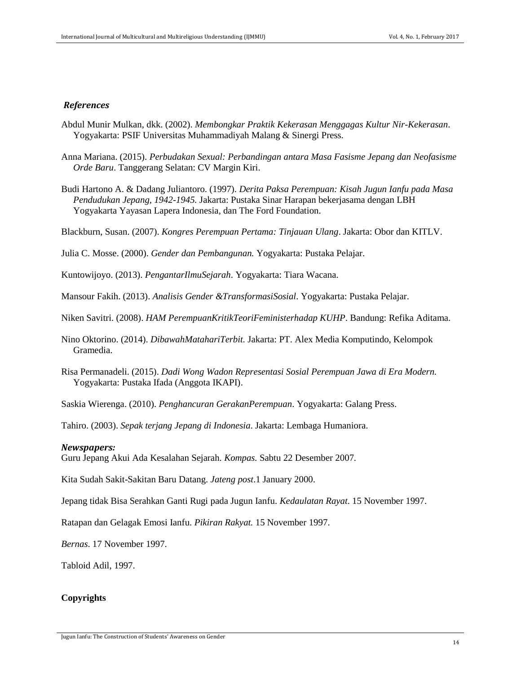#### *References*

- Abdul Munir Mulkan, dkk. (2002). *Membongkar Praktik Kekerasan Menggagas Kultur Nir-Kekerasan*. Yogyakarta: PSIF Universitas Muhammadiyah Malang & Sinergi Press.
- Anna Mariana. (2015). *Perbudakan Sexual: Perbandingan antara Masa Fasisme Jepang dan Neofasisme Orde Baru*. Tanggerang Selatan: CV Margin Kiri.
- Budi Hartono A. & Dadang Juliantoro. (1997). *Derita Paksa Perempuan: Kisah Jugun Ianfu pada Masa Pendudukan Jepang, 1942-1945.* Jakarta: Pustaka Sinar Harapan bekerjasama dengan LBH Yogyakarta Yayasan Lapera Indonesia, dan The Ford Foundation.

Blackburn, Susan. (2007). *Kongres Perempuan Pertama: Tinjauan Ulang*. Jakarta: Obor dan KITLV.

Julia C. Mosse. (2000). *Gender dan Pembangunan.* Yogyakarta: Pustaka Pelajar.

Kuntowijoyo. (2013). *PengantarIlmuSejarah*. Yogyakarta: Tiara Wacana.

Mansour Fakih. (2013). *Analisis Gender &TransformasiSosial*. Yogyakarta: Pustaka Pelajar.

Niken Savitri. (2008). *HAM PerempuanKritikTeoriFeministerhadap KUHP*. Bandung: Refika Aditama.

- Nino Oktorino. (2014). *DibawahMatahariTerbit.* Jakarta: PT. Alex Media Komputindo, Kelompok Gramedia.
- Risa Permanadeli. (2015). *Dadi Wong Wadon Representasi Sosial Perempuan Jawa di Era Modern.*  Yogyakarta: Pustaka Ifada (Anggota IKAPI).

Saskia Wierenga. (2010). *Penghancuran GerakanPerempuan*. Yogyakarta: Galang Press.

Tahiro. (2003). *Sepak terjang Jepang di Indonesia*. Jakarta: Lembaga Humaniora.

#### *Newspapers:*

Guru Jepang Akui Ada Kesalahan Sejarah. *Kompas.* Sabtu 22 Desember 2007.

Kita Sudah Sakit-Sakitan Baru Datang. *Jateng post*.1 January 2000.

Jepang tidak Bisa Serahkan Ganti Rugi pada Jugun Ianfu. *Kedaulatan Rayat*. 15 November 1997.

Ratapan dan Gelagak Emosi Ianfu. *Pikiran Rakyat.* 15 November 1997.

*Bernas*. 17 November 1997.

Tabloid Adil, 1997.

# **Copyrights**